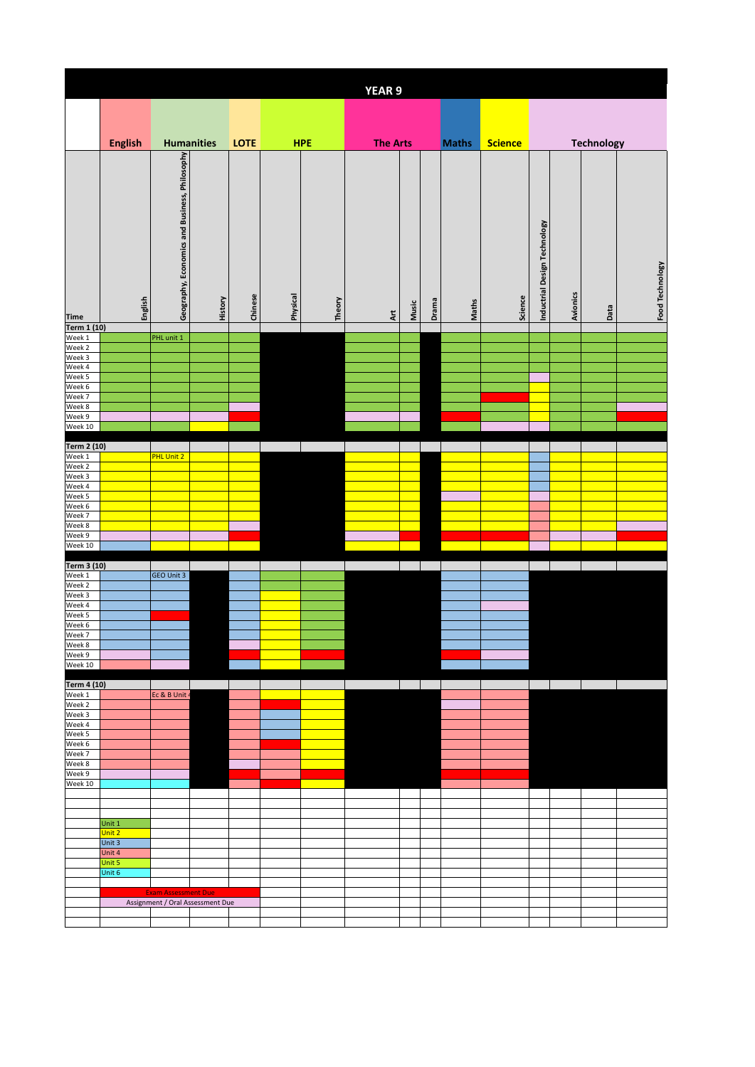|                                                |                  |                                               |                   |             |          |            | <b>YEAR 9</b>     |       |       |              |                |                              |          |                   |                 |
|------------------------------------------------|------------------|-----------------------------------------------|-------------------|-------------|----------|------------|-------------------|-------|-------|--------------|----------------|------------------------------|----------|-------------------|-----------------|
|                                                |                  |                                               |                   |             |          |            |                   |       |       |              |                |                              |          |                   |                 |
|                                                |                  |                                               |                   |             |          |            |                   |       |       |              |                |                              |          |                   |                 |
|                                                | <b>English</b>   |                                               | <b>Humanities</b> | <b>LOTE</b> |          | <b>HPE</b> | <b>The Arts</b>   |       |       | <b>Maths</b> | <b>Science</b> |                              |          | <b>Technology</b> |                 |
| <b>Time</b>                                    | English          | Geography, Economics and Business, Philosophy | History           | Chinese     | Physical | Theory     | $\overline{A}$ rt | Music | Drama | Maths        | Science        | Inductrial Design Technology | Avionics | Data              | Food Technology |
| Term 1 (10)                                    |                  | PHL unit 1                                    |                   |             |          |            |                   |       |       |              |                |                              |          |                   |                 |
| Week 1<br>Week 2                               |                  |                                               |                   |             |          |            |                   |       |       |              |                |                              |          |                   |                 |
| Week 3                                         |                  |                                               |                   |             |          |            |                   |       |       |              |                |                              |          |                   |                 |
| Week 3<br>Week 4<br>Week 5<br>Week 7<br>Week 8 |                  |                                               |                   |             |          |            |                   |       |       |              |                |                              |          |                   |                 |
|                                                |                  |                                               |                   |             |          |            |                   |       |       |              |                |                              |          |                   |                 |
|                                                |                  |                                               |                   |             |          |            |                   |       |       |              |                |                              |          |                   |                 |
| Week 9<br>Week 10                              |                  |                                               |                   |             |          |            |                   |       |       |              |                |                              |          |                   |                 |
|                                                |                  |                                               |                   |             |          |            |                   |       |       |              |                |                              |          |                   |                 |
| Term 2 (10)                                    |                  | PHL Unit 2                                    |                   |             |          |            |                   |       |       |              |                |                              |          |                   |                 |
| Week 1<br>Week 2                               |                  |                                               |                   |             |          |            |                   |       |       |              |                |                              |          |                   |                 |
| Week 3<br>Week 4                               |                  |                                               |                   |             |          |            |                   |       |       |              |                |                              |          |                   |                 |
| Week 5                                         |                  |                                               |                   |             |          |            |                   |       |       |              |                |                              |          |                   |                 |
| Week 6<br>Week 7                               |                  |                                               |                   |             |          |            |                   |       |       |              |                |                              |          |                   |                 |
| Week 8                                         |                  |                                               |                   |             |          |            |                   |       |       |              |                |                              |          |                   |                 |
| Week 9                                         |                  |                                               |                   |             |          |            |                   |       |       |              |                |                              |          |                   |                 |
| Week 10                                        |                  |                                               |                   |             |          |            |                   |       |       |              |                |                              |          |                   |                 |
| <b>Term 3 (10)</b><br>Week 1                   |                  |                                               |                   |             |          |            |                   |       |       |              |                |                              |          |                   |                 |
| Week 2                                         |                  | GEO Unit 3                                    |                   |             |          |            |                   |       |       |              |                |                              |          |                   |                 |
| Week 3<br>Week 4                               |                  |                                               |                   |             |          |            |                   |       |       |              |                |                              |          |                   |                 |
|                                                |                  |                                               |                   |             |          |            |                   |       |       |              |                |                              |          |                   |                 |
| Week 5<br>Week 6<br>Week 7                     |                  |                                               |                   |             |          |            |                   |       |       |              |                |                              |          |                   |                 |
|                                                |                  |                                               |                   |             |          |            |                   |       |       |              |                |                              |          |                   |                 |
| Week 8<br>Week 9<br>Week 10                    |                  |                                               |                   |             |          |            |                   |       |       |              |                |                              |          |                   |                 |
|                                                |                  |                                               |                   |             |          |            |                   |       |       |              |                |                              |          |                   |                 |
| <b>Term 4 (10)</b><br>Week 1<br>Week 2         |                  |                                               |                   |             |          |            |                   |       |       |              |                |                              |          |                   |                 |
|                                                |                  | Ec & B Unit 4                                 |                   |             |          |            |                   |       |       |              |                |                              |          |                   |                 |
| Week 3                                         |                  |                                               |                   |             |          |            |                   |       |       |              |                |                              |          |                   |                 |
| Week 4                                         |                  |                                               |                   |             |          |            |                   |       |       |              |                |                              |          |                   |                 |
|                                                |                  |                                               |                   |             |          |            |                   |       |       |              |                |                              |          |                   |                 |
| Week 4<br>Week 5<br>Week 7<br>Week 8           |                  |                                               |                   |             |          |            |                   |       |       |              |                |                              |          |                   |                 |
| Week 9                                         |                  |                                               |                   |             |          |            |                   |       |       |              |                |                              |          |                   |                 |
| Week 10                                        |                  |                                               |                   |             |          |            |                   |       |       |              |                |                              |          |                   |                 |
|                                                |                  |                                               |                   |             |          |            |                   |       |       |              |                |                              |          |                   |                 |
|                                                | Unit 1           |                                               |                   |             |          |            |                   |       |       |              |                |                              |          |                   |                 |
|                                                | Unit 2           |                                               |                   |             |          |            |                   |       |       |              |                |                              |          |                   |                 |
|                                                | Unit 3<br>Unit 4 |                                               |                   |             |          |            |                   |       |       |              |                |                              |          |                   |                 |
|                                                | Unit 5           |                                               |                   |             |          |            |                   |       |       |              |                |                              |          |                   |                 |
|                                                | Unit 6           |                                               |                   |             |          |            |                   |       |       |              |                |                              |          |                   |                 |
|                                                |                  | <b>Exam Assessment Due</b>                    |                   |             |          |            |                   |       |       |              |                |                              |          |                   |                 |
|                                                |                  | Assignment / Oral Assessment Due              |                   |             |          |            |                   |       |       |              |                |                              |          |                   |                 |
|                                                |                  |                                               |                   |             |          |            |                   |       |       |              |                |                              |          |                   |                 |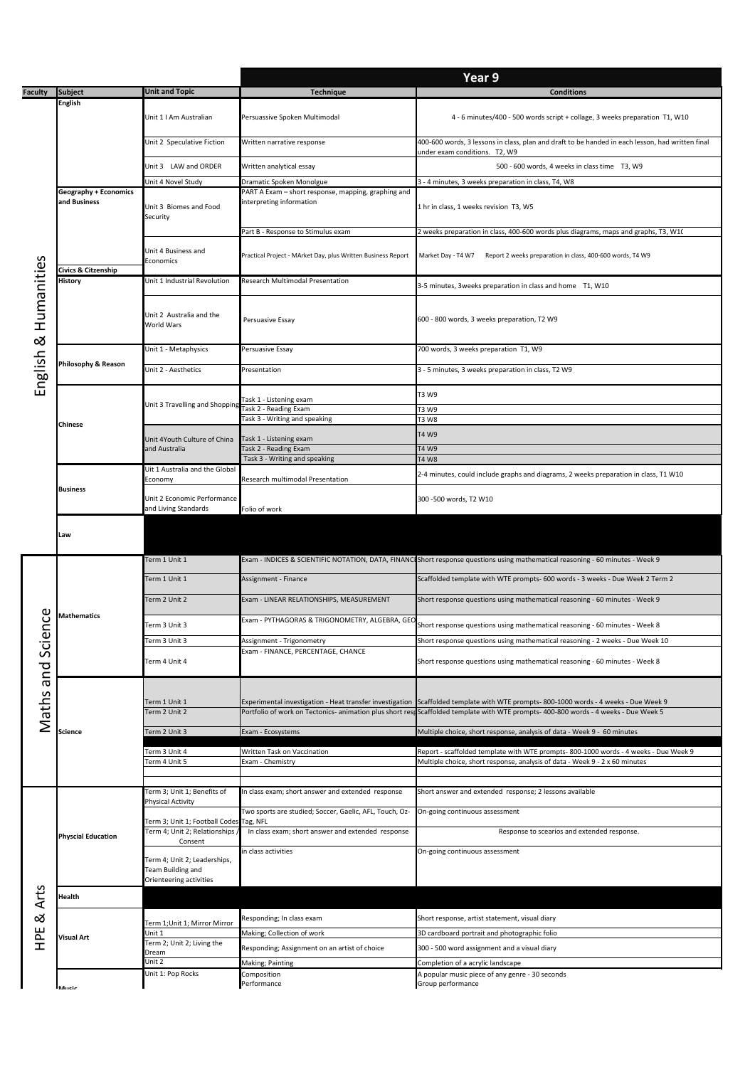|                      |                                              |                                                   | Year 9                                                                          |                                                                                                                                      |  |  |  |  |
|----------------------|----------------------------------------------|---------------------------------------------------|---------------------------------------------------------------------------------|--------------------------------------------------------------------------------------------------------------------------------------|--|--|--|--|
| <b>Faculty</b>       | <b>Subject</b>                               | <b>Unit and Topic</b>                             | <b>Technique</b>                                                                | <b>Conditions</b>                                                                                                                    |  |  |  |  |
|                      | <b>English</b>                               |                                                   |                                                                                 |                                                                                                                                      |  |  |  |  |
| English & Humanities |                                              | Unit 1   Am Australian                            | Persuassive Spoken Multimodal                                                   | 4 - 6 minutes/400 - 500 words script + collage, 3 weeks preparation T1, W10                                                          |  |  |  |  |
|                      |                                              |                                                   |                                                                                 |                                                                                                                                      |  |  |  |  |
|                      |                                              | Unit 2 Speculative Fiction                        | Written narrative response                                                      | 400-600 words, 3 lessons in class, plan and draft to be handed in each lesson, had written final                                     |  |  |  |  |
|                      |                                              |                                                   |                                                                                 | under exam conditions. T2, W9                                                                                                        |  |  |  |  |
|                      |                                              | Unit 3 LAW and ORDER                              | Written analytical essay                                                        | 500 - 600 words, 4 weeks in class time T3, W9                                                                                        |  |  |  |  |
|                      |                                              | Unit 4 Novel Study                                | Dramatic Spoken Monolgue                                                        | 3 - 4 minutes, 3 weeks preparation in class, T4, W8                                                                                  |  |  |  |  |
|                      | <b>Geography + Economics</b><br>and Business |                                                   | PART A Exam - short response, mapping, graphing and<br>interpreting information |                                                                                                                                      |  |  |  |  |
|                      |                                              | Unit 3 Biomes and Food<br>Security                |                                                                                 | 1 hr in class, 1 weeks revision T3, W5                                                                                               |  |  |  |  |
|                      |                                              |                                                   |                                                                                 | 2 weeks preparation in class, 400-600 words plus diagrams, maps and graphs, T3, W1(                                                  |  |  |  |  |
|                      |                                              |                                                   | Part B - Response to Stimulus exam                                              |                                                                                                                                      |  |  |  |  |
|                      |                                              | Unit 4 Business and                               | Practical Project - MArket Day, plus Written Business Report                    | Market Day - T4 W7<br>Report 2 weeks preparation in class, 400-600 words, T4 W9                                                      |  |  |  |  |
|                      | Civics & Citzenship                          | Economics                                         |                                                                                 |                                                                                                                                      |  |  |  |  |
|                      | <b>History</b>                               | Unit 1 Industrial Revolution                      | Research Multimodal Presentation                                                | 3-5 minutes, 3weeks preparation in class and home T1, W10                                                                            |  |  |  |  |
|                      |                                              |                                                   |                                                                                 |                                                                                                                                      |  |  |  |  |
|                      |                                              |                                                   |                                                                                 | 600 - 800 words, 3 weeks preparation, T2 W9                                                                                          |  |  |  |  |
|                      |                                              | Unit 2 Australia and the<br>World Wars            | Persuasive Essay                                                                |                                                                                                                                      |  |  |  |  |
|                      |                                              |                                                   |                                                                                 |                                                                                                                                      |  |  |  |  |
|                      |                                              | Unit 1 - Metaphysics                              | Persuasive Essay                                                                | 700 words, 3 weeks preparation T1, W9                                                                                                |  |  |  |  |
|                      | Philosophy & Reason                          | Unit 2 - Aesthetics                               | Presentation                                                                    | 3 - 5 minutes, 3 weeks preparation in class, T2 W9                                                                                   |  |  |  |  |
|                      |                                              |                                                   |                                                                                 |                                                                                                                                      |  |  |  |  |
|                      |                                              |                                                   |                                                                                 | T3 W9                                                                                                                                |  |  |  |  |
|                      |                                              | Unit 3 Travelling and Shopping                    | Task 1 - Listening exam<br><b>Task 2 - Reading Exam</b>                         | T3 W9                                                                                                                                |  |  |  |  |
|                      | <b>Chinese</b>                               |                                                   | Task 3 - Writing and speaking                                                   | T3 W8                                                                                                                                |  |  |  |  |
|                      |                                              | Unit 4Youth Culture of China                      | Task 1 - Listening exam                                                         | T4 W9                                                                                                                                |  |  |  |  |
|                      |                                              | and Australia                                     | Task 2 - Reading Exam                                                           | T4 W9                                                                                                                                |  |  |  |  |
|                      |                                              |                                                   | Task 3 - Writing and speaking                                                   | T4 W8                                                                                                                                |  |  |  |  |
|                      |                                              | Uit 1 Australia and the Global<br>Economy         | Research multimodal Presentation                                                | 2-4 minutes, could include graphs and diagrams, 2 weeks preparation in class, T1 W10                                                 |  |  |  |  |
|                      | <b>Business</b>                              |                                                   |                                                                                 | 300 -500 words, T2 W10                                                                                                               |  |  |  |  |
|                      |                                              | Unit 2 Economic Performance                       |                                                                                 |                                                                                                                                      |  |  |  |  |
|                      |                                              | and Living Standards                              | Folio of work                                                                   |                                                                                                                                      |  |  |  |  |
|                      | Law                                          |                                                   |                                                                                 |                                                                                                                                      |  |  |  |  |
|                      |                                              |                                                   |                                                                                 |                                                                                                                                      |  |  |  |  |
|                      |                                              | Term 1 Unit 1                                     |                                                                                 | Exam - INDICES & SCIENTIFIC NOTATION, DATA, FINANCIShort response questions using mathematical reasoning - 60 minutes - Week 9       |  |  |  |  |
|                      | Mathematics                                  |                                                   |                                                                                 |                                                                                                                                      |  |  |  |  |
|                      |                                              | Term 1 Unit 1                                     | Assignment - Finance                                                            | Scaffolded template with WTE prompts- 600 words - 3 weeks - Due Week 2 Term 2                                                        |  |  |  |  |
|                      |                                              | Term 2 Unit 2                                     | Exam - LINEAR RELATIONSHIPS, MEASUREMENT                                        | Short response questions using mathematical reasoning - 60 minutes - Week 9                                                          |  |  |  |  |
| ence                 |                                              |                                                   | Exam - PYTHAGORAS & TRIGONOMETRY, ALGEBRA, GEO                                  |                                                                                                                                      |  |  |  |  |
|                      |                                              | Term 3 Unit 3                                     |                                                                                 | Short response questions using mathematical reasoning - 60 minutes - Week 8                                                          |  |  |  |  |
|                      |                                              | Ferm 3 Unit 3                                     | Assignment - Trigonometry                                                       | Short response questions using mathematical reasoning - 2 weeks - Due Week 10                                                        |  |  |  |  |
|                      |                                              | Term 4 Unit 4                                     | Exam - FINANCE, PERCENTAGE, CHANCE                                              | Short response questions using mathematical reasoning - 60 minutes - Week 8                                                          |  |  |  |  |
|                      |                                              |                                                   |                                                                                 |                                                                                                                                      |  |  |  |  |
|                      |                                              |                                                   |                                                                                 |                                                                                                                                      |  |  |  |  |
|                      |                                              | Term 1 Unit 1                                     |                                                                                 | Experimental investigation - Heat transfer investigation Scaffolded template with WTE prompts-800-1000 words - 4 weeks - Due Week 9  |  |  |  |  |
| Maths and Sci        |                                              | Term 2 Unit 2                                     |                                                                                 | Portfolio of work on Tectonics- animation plus short resp Scaffolded template with WTE prompts- 400-800 words - 4 weeks - Due Week 5 |  |  |  |  |
|                      | Science                                      | Term 2 Unit 3                                     | Exam - Ecosystems                                                               | Multiple choice, short response, analysis of data - Week 9 - 60 minutes                                                              |  |  |  |  |
|                      |                                              |                                                   |                                                                                 |                                                                                                                                      |  |  |  |  |
|                      |                                              | Term 3 Unit 4                                     | Written Task on Vaccination                                                     | Report - scaffolded template with WTE prompts-800-1000 words - 4 weeks - Due Week 9                                                  |  |  |  |  |
|                      |                                              | Term 4 Unit 5                                     | Exam - Chemistry                                                                | Multiple choice, short response, analysis of data - Week 9 - 2 x 60 minutes                                                          |  |  |  |  |
|                      |                                              |                                                   |                                                                                 |                                                                                                                                      |  |  |  |  |
|                      |                                              | Term 3; Unit 1; Benefits of                       | In class exam; short answer and extended response                               | Short answer and extended response; 2 lessons available                                                                              |  |  |  |  |
|                      | <b>Physcial Education</b>                    | Physical Activity                                 | Two sports are studied; Soccer, Gaelic, AFL, Touch, Oz-                         | On-going continuous assessment                                                                                                       |  |  |  |  |
|                      |                                              | Term 3; Unit 1; Football Codes                    | Tag, NFL                                                                        |                                                                                                                                      |  |  |  |  |
|                      |                                              | Term 4; Unit 2; Relationships /<br>Consent        | In class exam; short answer and extended response                               | Response to scearios and extended response.                                                                                          |  |  |  |  |
|                      |                                              |                                                   | in class activities                                                             | On-going continuous assessment                                                                                                       |  |  |  |  |
|                      |                                              | Term 4; Unit 2; Leaderships,<br>Team Building and |                                                                                 |                                                                                                                                      |  |  |  |  |
|                      |                                              | Orienteering activities                           |                                                                                 |                                                                                                                                      |  |  |  |  |
| Arts                 | Health                                       |                                                   |                                                                                 |                                                                                                                                      |  |  |  |  |
|                      |                                              |                                                   |                                                                                 |                                                                                                                                      |  |  |  |  |
| ಹ<br>)<br>오          |                                              | Term 1;Unit 1; Mirror Mirror                      | Responding; In class exam                                                       | Short response, artist statement, visual diary                                                                                       |  |  |  |  |
|                      | Visual Art                                   | Unit 1                                            | Making; Collection of work                                                      | 3D cardboard portrait and photographic folio                                                                                         |  |  |  |  |
|                      |                                              | Term 2; Unit 2; Living the<br>Dream               | Responding; Assignment on an artist of choice                                   | 300 - 500 word assignment and a visual diary                                                                                         |  |  |  |  |
|                      |                                              | Unit 2                                            | Making; Painting                                                                | Completion of a acrylic landscape                                                                                                    |  |  |  |  |
|                      |                                              | Unit 1: Pop Rocks                                 | Composition                                                                     | A popular music piece of any genre - 30 seconds                                                                                      |  |  |  |  |
|                      | Music                                        |                                                   | Performance                                                                     | Group performance                                                                                                                    |  |  |  |  |